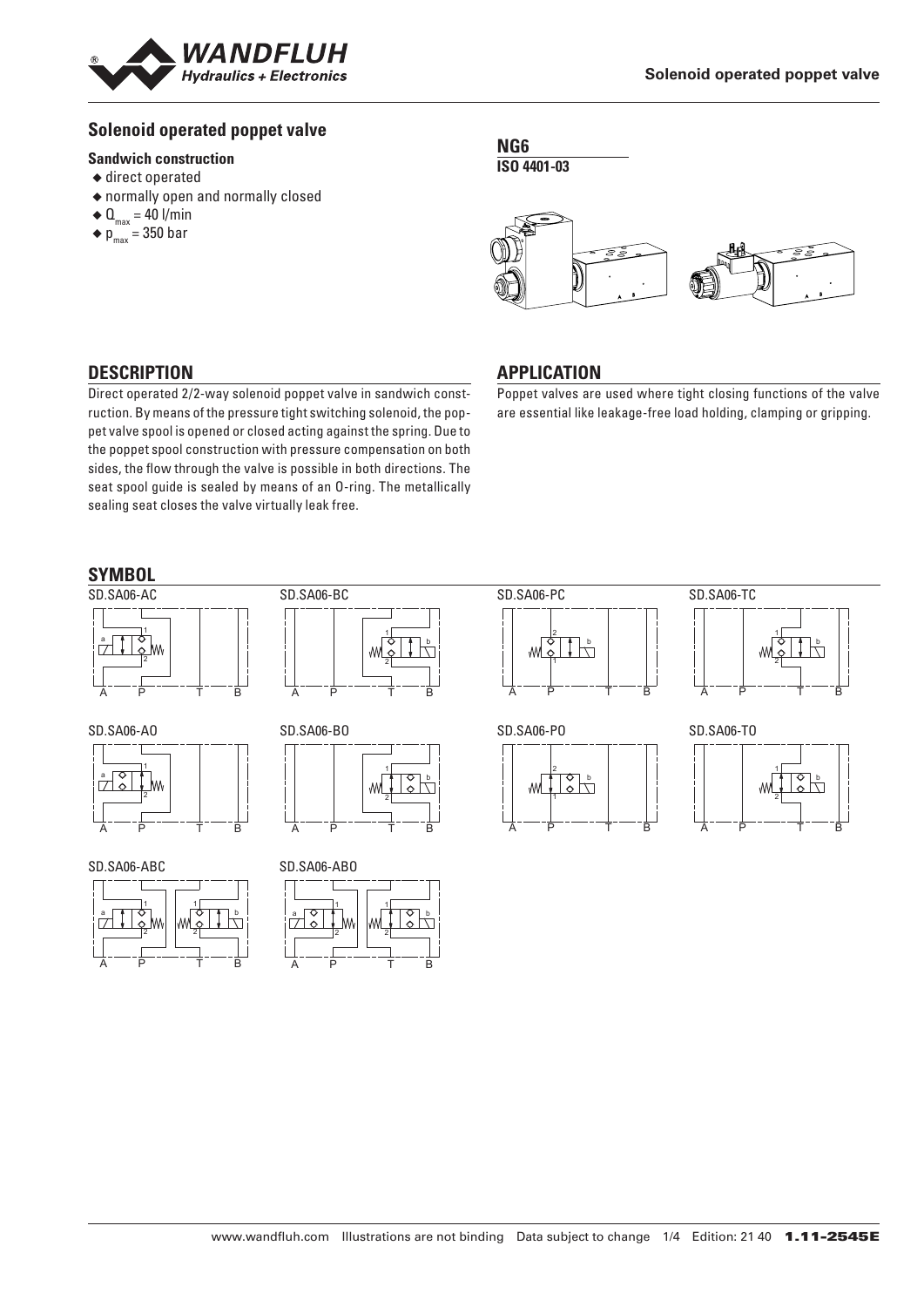

## **Solenoid operated poppet valve**

#### **Sandwich construction**

- ◆ direct operated
- ◆ normally open and normally closed
- $\triangleleft$  Q<sub>max</sub> = 40 l/min
- $\bullet$  p<sub>max</sub> = 350 bar

**NG6 ISO 4401-03**



## **DESCRIPTION**

Direct operated 2/2-way solenoid poppet valve in sandwich construction. By means of the pressure tight switching solenoid, the poppet valve spool is opened or closed acting against the spring. Due to the poppet spool construction with pressure compensation on both sides, the flow through the valve is possible in both directions. The seat spool guide is sealed by means of an O-ring. The metallically sealing seat closes the valve virtually leak free.

# **APPLICATION**

Poppet valves are used where tight closing functions of the valve are essential like leakage-free load holding, clamping or gripping.

## **SYMBOL**



SD.SA06-AO



SD.SA06-ABC





SD.SA06-BO b W 2 A P T B

SD.SA06-ABO









w



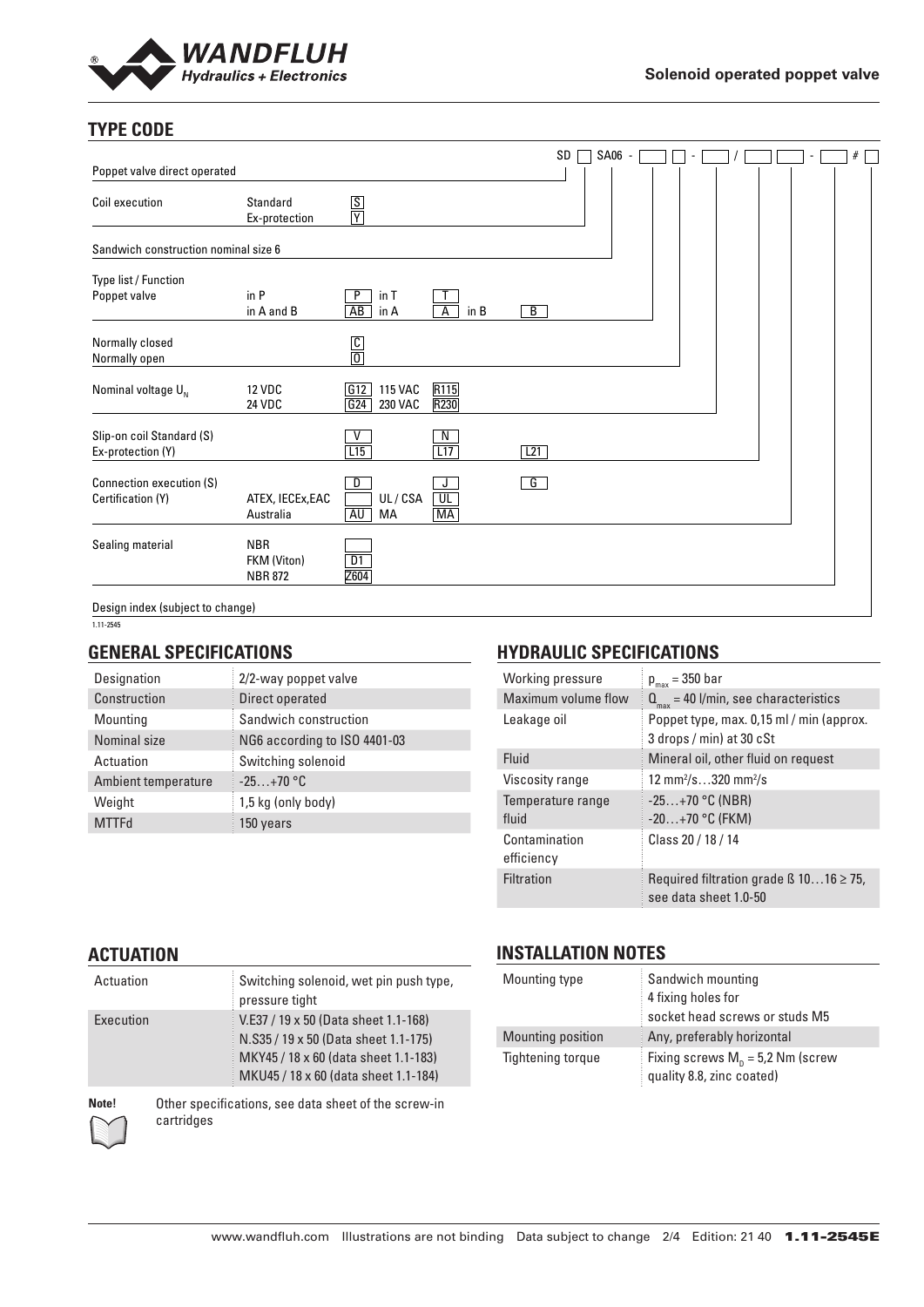

# **TYPE CODE**

|                                                |                                             |                                                   |                                            |                | SD | SA06 - |  |  | $\blacksquare$ | $\#$ |  |
|------------------------------------------------|---------------------------------------------|---------------------------------------------------|--------------------------------------------|----------------|----|--------|--|--|----------------|------|--|
| Poppet valve direct operated                   |                                             |                                                   |                                            |                |    |        |  |  |                |      |  |
| Coil execution                                 | Standard<br>Ex-protection                   | $rac{S}{Y}$                                       |                                            |                |    |        |  |  |                |      |  |
| Sandwich construction nominal size 6           |                                             |                                                   |                                            |                |    |        |  |  |                |      |  |
| Type list / Function<br>Poppet valve           | in P<br>in A and B                          | P<br>in T<br>AB<br>in A                           | in B<br>$\overline{A}$                     | $\overline{B}$ |    |        |  |  |                |      |  |
| Normally closed<br>Normally open               |                                             | $\frac{C}{0}$                                     |                                            |                |    |        |  |  |                |      |  |
| Nominal voltage $U_{N}$                        | <b>12 VDC</b><br><b>24 VDC</b>              | $\boxed{G12}$<br><b>115 VAC</b><br>G24<br>230 VAC | R115<br>R230                               |                |    |        |  |  |                |      |  |
| Slip-on coil Standard (S)<br>Ex-protection (Y) |                                             | L15                                               | $\frac{N}{L17}$                            | L21            |    |        |  |  |                |      |  |
| Connection execution (S)<br>Certification (Y)  | ATEX, IECEx, EAC<br>Australia               | D<br>UL/CSA<br>AU<br>MA                           | J<br>$\overline{\mathsf{UL}}$<br><b>MA</b> | $\overline{G}$ |    |        |  |  |                |      |  |
| Sealing material                               | <b>NBR</b><br>FKM (Viton)<br><b>NBR 872</b> | $\overline{D1}$<br>Z604                           |                                            |                |    |        |  |  |                |      |  |
| Design index (subject to change)               |                                             |                                                   |                                            |                |    |        |  |  |                |      |  |

1.11-2545

#### **GENERAL SPECIFICATIONS**

| Designation         | 2/2-way poppet valve         |
|---------------------|------------------------------|
| Construction        | Direct operated              |
| Mounting            | Sandwich construction        |
| Nominal size        | NG6 according to ISO 4401-03 |
| Actuation           | Switching solenoid           |
| Ambient temperature | $-25+70$ °C                  |
| Weight              | 1,5 kg (only body)           |
| MTTFd               | 150 years                    |

### **HYDRAULIC SPECIFICATIONS**

| Working pressure            | $p_{max} = 350$ bar                                                        |
|-----------------------------|----------------------------------------------------------------------------|
| Maximum volume flow         | $Q_{\text{max}}$ = 40 l/min, see characteristics                           |
| Leakage oil                 | Poppet type, max. 0,15 ml / min (approx.<br>3 drops / min) at 30 cSt       |
| Fluid                       | Mineral oil, other fluid on request                                        |
| Viscosity range             | 12 mm <sup>2</sup> /s320 mm <sup>2</sup> /s                                |
| Temperature range<br>fluid  | $-25+70$ °C (NBR)<br>$-20+70$ °C (FKM)                                     |
| Contamination<br>efficiency | Class 20 / 18 / 14                                                         |
| Filtration                  | Required filtration grade $\beta$ 1016 $\geq$ 75,<br>see data sheet 1.0-50 |

#### **ACTUATION**

| Actuation | Switching solenoid, wet pin push type,<br>pressure tight                                                                                                     |
|-----------|--------------------------------------------------------------------------------------------------------------------------------------------------------------|
| Execution | V.E37 / 19 x 50 (Data sheet 1.1-168)<br>N.S35 / 19 x 50 (Data sheet 1.1-175)<br>MKY45 / 18 x 60 (data sheet 1.1-183)<br>MKU45 / 18 x 60 (data sheet 1.1-184) |

#### **INSTALLATION NOTES**

| Mounting type     | Sandwich mounting<br>4 fixing holes for<br>socket head screws or studs M5 |
|-------------------|---------------------------------------------------------------------------|
| Mounting position | Any, preferably horizontal                                                |
| Tightening torque | Fixing screws $M_p = 5.2$ Nm (screw<br>quality 8.8, zinc coated)          |

**Note!** Other specifications, see data sheet of the screw-in cartridges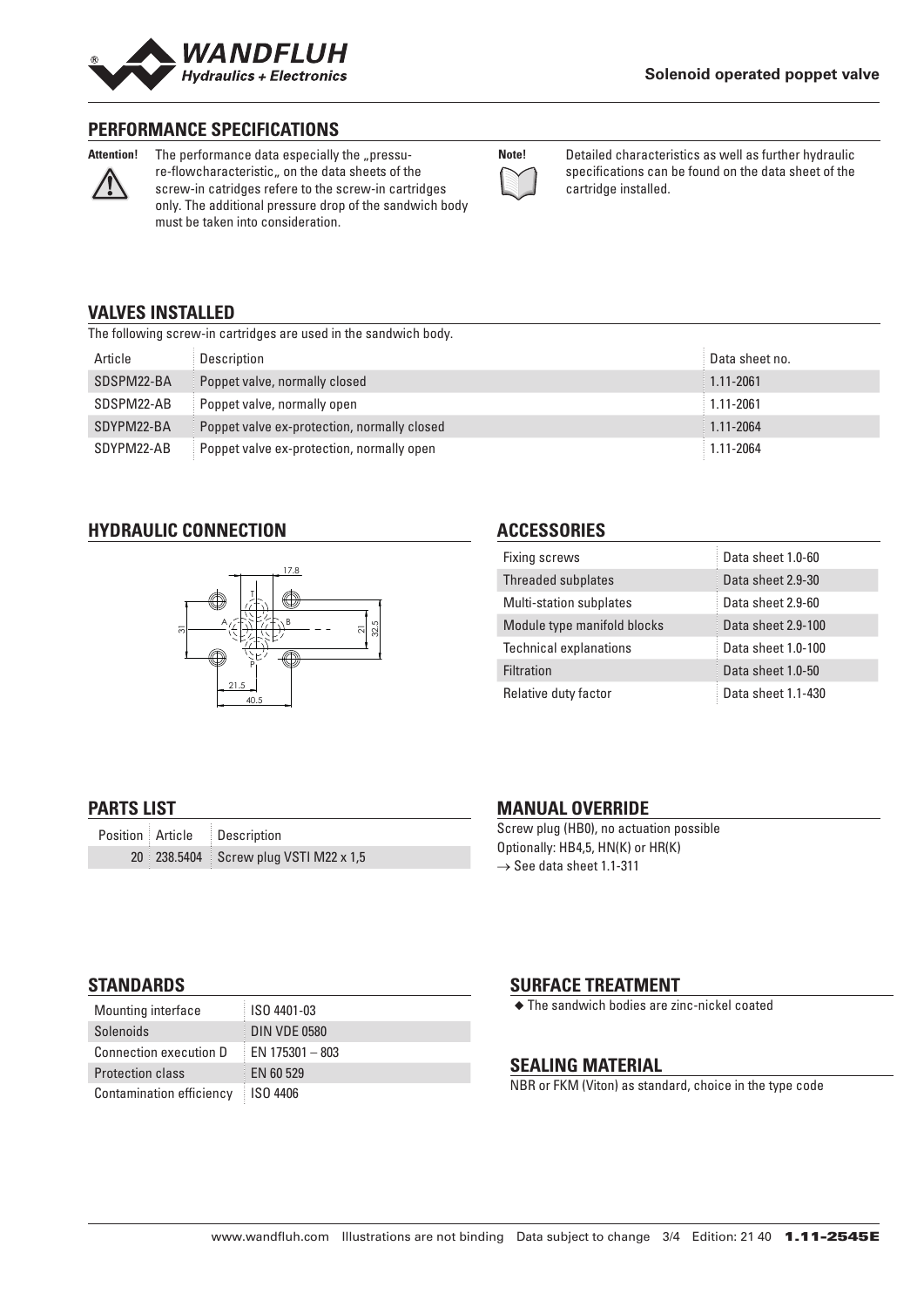

#### **PERFORMANCE SPECIFICATIONS**



Attention! The performance data especially the "pressure-flowcharacteristic, on the data sheets of the screw-in catridges refere to the screw-in cartridges only. The additional pressure drop of the sandwich body must be taken into consideration.

| Note! |  |
|-------|--|
|       |  |
|       |  |

**Note!** Detailed characteristics as well as further hydraulic specifications can be found on the data sheet of the cartridge installed.

#### **VALVES INSTALLED**

The following screw-in cartridges are used in the sandwich body.

| Article    | Description                                 | Data sheet no. |
|------------|---------------------------------------------|----------------|
| SDSPM22-BA | Poppet valve, normally closed               | $1.11 - 2061$  |
| SDSPM22-AB | Poppet valve, normally open                 | $1.11 - 2061$  |
| SDYPM22-BA | Poppet valve ex-protection, normally closed | $1.11 - 2064$  |
| SDYPM22-AB | Poppet valve ex-protection, normally open   | $1.11 - 2064$  |

#### **HYDRAULIC CONNECTION**



### **ACCESSORIES**

| Fixing screws                  | Data sheet 1.0-60  |
|--------------------------------|--------------------|
| <b>Threaded subplates</b>      | Data sheet 2.9-30  |
| <b>Multi-station subplates</b> | Data sheet 2.9-60  |
| Module type manifold blocks    | Data sheet 2.9-100 |
| <b>Technical explanations</b>  | Data sheet 1.0-100 |
| <b>Filtration</b>              | Data sheet 1.0-50  |
| Relative duty factor           | Data sheet 1.1-430 |

## **PARTS LIST**

|  | Position Article Description          |
|--|---------------------------------------|
|  | 20 238.5404 Screw plug VSTI M22 x 1,5 |

## **MANUAL OVERRIDE**

Screw plug (HB0), no actuation possible Optionally: HB4,5, HN(K) or HR(K)  $\rightarrow$  See data sheet 1.1-311

### **STANDARDS**

| Mounting interface              | ISO 4401-03         |
|---------------------------------|---------------------|
| Solenoids                       | <b>DIN VDE 0580</b> |
| <b>Connection execution D</b>   | $EN$ 175301 - 803   |
| <b>Protection class</b>         | EN 60 529           |
| <b>Contamination efficiency</b> | <b>ISO 4406</b>     |

# **SURFACE TREATMENT**

◆ The sandwich bodies are zinc-nickel coated

# **SEALING MATERIAL**

NBR or FKM (Viton) as standard, choice in the type code